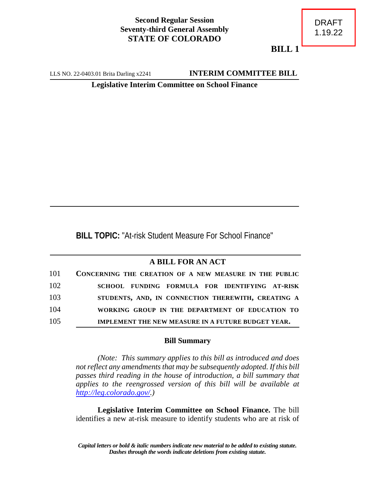## **Second Regular Session Seventy-third General Assembly STATE OF COLORADO**

**BILL 1**

LLS NO. 22-0403.01 Brita Darling x2241 **INTERIM COMMITTEE BILL** 

**Legislative Interim Committee on School Finance**

**BILL TOPIC:** "At-risk Student Measure For School Finance"

## **A BILL FOR AN ACT**

| 101 | CONCERNING THE CREATION OF A NEW MEASURE IN THE PUBLIC |
|-----|--------------------------------------------------------|
| 102 | SCHOOL FUNDING FORMULA FOR IDENTIFYING AT-RISK         |
| 103 | STUDENTS, AND, IN CONNECTION THEREWITH, CREATING A     |
| 104 | WORKING GROUP IN THE DEPARTMENT OF EDUCATION TO        |
| 105 | IMPLEMENT THE NEW MEASURE IN A FUTURE BUDGET YEAR.     |

## **Bill Summary**

*(Note: This summary applies to this bill as introduced and does not reflect any amendments that may be subsequently adopted. If this bill passes third reading in the house of introduction, a bill summary that applies to the reengrossed version of this bill will be available at <http://leg.colorado.gov/>.)*

**Legislative Interim Committee on School Finance.** The bill identifies a new at-risk measure to identify students who are at risk of

*Capital letters or bold & italic numbers indicate new material to be added to existing statute. Dashes through the words indicate deletions from existing statute.*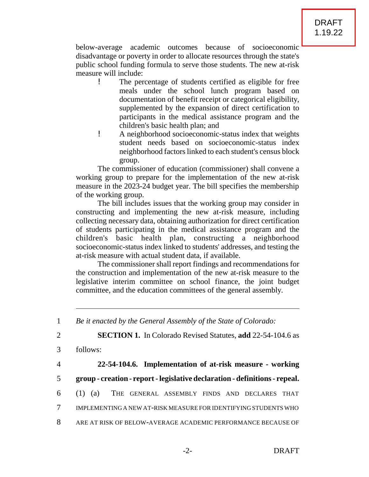below-average academic outcomes because of socioeconomic disadvantage or poverty in order to allocate resources through the state's public school funding formula to serve those students. The new at-risk measure will include:

- ! The percentage of students certified as eligible for free meals under the school lunch program based on documentation of benefit receipt or categorical eligibility, supplemented by the expansion of direct certification to participants in the medical assistance program and the children's basic health plan; and
- ! A neighborhood socioeconomic-status index that weights student needs based on socioeconomic-status index neighborhood factors linked to each student's census block group.

The commissioner of education (commissioner) shall convene a working group to prepare for the implementation of the new at-risk measure in the 2023-24 budget year. The bill specifies the membership of the working group.

The bill includes issues that the working group may consider in constructing and implementing the new at-risk measure, including collecting necessary data, obtaining authorization for direct certification of students participating in the medical assistance program and the children's basic health plan, constructing a neighborhood socioeconomic-status index linked to students' addresses, and testing the at-risk measure with actual student data, if available.

The commissioner shall report findings and recommendations for the construction and implementation of the new at-risk measure to the legislative interim committee on school finance, the joint budget committee, and the education committees of the general assembly.

1 *Be it enacted by the General Assembly of the State of Colorado:*

2 **SECTION 1.** In Colorado Revised Statutes, **add** 22-54-104.6 as

- 3 follows:
- 

## 4 **22-54-104.6. Implementation of at-risk measure - working**

- 5 **group creation report legislative declaration definitions repeal.**
- 6 (1) (a) THE GENERAL ASSEMBLY FINDS AND DECLARES THAT
- 7 IMPLEMENTING A NEW AT-RISK MEASURE FOR IDENTIFYING STUDENTS WHO
- 8 ARE AT RISK OF BELOW-AVERAGE ACADEMIC PERFORMANCE BECAUSE OF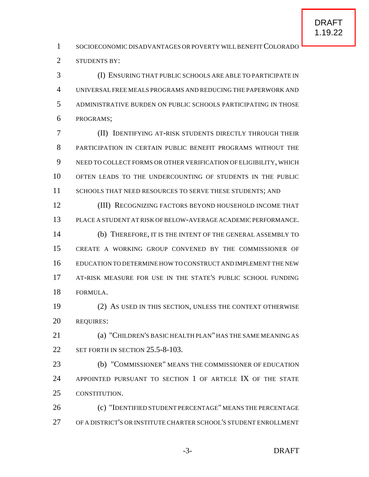1 SOCIOECONOMIC DISADVANTAGES OR POVERTY WILL BENEFIT COLORADO STUDENTS BY:

 (I) ENSURING THAT PUBLIC SCHOOLS ARE ABLE TO PARTICIPATE IN UNIVERSAL FREE MEALS PROGRAMS AND REDUCING THE PAPERWORK AND ADMINISTRATIVE BURDEN ON PUBLIC SCHOOLS PARTICIPATING IN THOSE PROGRAMS;

 (II) IDENTIFYING AT-RISK STUDENTS DIRECTLY THROUGH THEIR 8 PARTICIPATION IN CERTAIN PUBLIC BENEFIT PROGRAMS WITHOUT THE NEED TO COLLECT FORMS OR OTHER VERIFICATION OF ELIGIBILITY, WHICH OFTEN LEADS TO THE UNDERCOUNTING OF STUDENTS IN THE PUBLIC 11 SCHOOLS THAT NEED RESOURCES TO SERVE THESE STUDENTS; AND

 (III) RECOGNIZING FACTORS BEYOND HOUSEHOLD INCOME THAT PLACE A STUDENT AT RISK OF BELOW-AVERAGE ACADEMICPERFORMANCE. (b) THEREFORE, IT IS THE INTENT OF THE GENERAL ASSEMBLY TO CREATE A WORKING GROUP CONVENED BY THE COMMISSIONER OF EDUCATION TO DETERMINE HOW TO CONSTRUCT AND IMPLEMENT THE NEW

 AT-RISK MEASURE FOR USE IN THE STATE'S PUBLIC SCHOOL FUNDING FORMULA.

 (2) AS USED IN THIS SECTION, UNLESS THE CONTEXT OTHERWISE REQUIRES:

 (a) "CHILDREN'S BASIC HEALTH PLAN" HAS THE SAME MEANING AS 22 SET FORTH IN SECTION 25.5-8-103.

 (b) "COMMISSIONER" MEANS THE COMMISSIONER OF EDUCATION APPOINTED PURSUANT TO SECTION 1 OF ARTICLE IX OF THE STATE CONSTITUTION.

 (c) "IDENTIFIED STUDENT PERCENTAGE" MEANS THE PERCENTAGE OF A DISTRICT'S OR INSTITUTE CHARTER SCHOOL'S STUDENT ENROLLMENT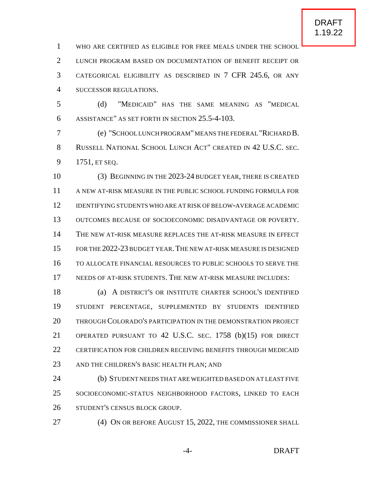WHO ARE CERTIFIED AS ELIGIBLE FOR FREE MEALS UNDER THE SCHOOL

 LUNCH PROGRAM BASED ON DOCUMENTATION OF BENEFIT RECEIPT OR CATEGORICAL ELIGIBILITY AS DESCRIBED IN 7 CFR 245.6, OR ANY SUCCESSOR REGULATIONS.

 (d) "MEDICAID" HAS THE SAME MEANING AS "MEDICAL ASSISTANCE" AS SET FORTH IN SECTION 25.5-4-103.

 (e) "SCHOOL LUNCH PROGRAM"MEANS THE FEDERAL "RICHARD B. RUSSELL NATIONAL SCHOOL LUNCH ACT" CREATED IN 42 U.S.C. SEC. 1751, ET SEQ.

 (3) BEGINNING IN THE 2023-24 BUDGET YEAR, THERE IS CREATED A NEW AT-RISK MEASURE IN THE PUBLIC SCHOOL FUNDING FORMULA FOR IDENTIFYING STUDENTS WHO ARE AT RISK OF BELOW-AVERAGE ACADEMIC OUTCOMES BECAUSE OF SOCIOECONOMIC DISADVANTAGE OR POVERTY. THE NEW AT-RISK MEASURE REPLACES THE AT-RISK MEASURE IN EFFECT FOR THE 2022-23 BUDGET YEAR.THE NEW AT-RISK MEASURE IS DESIGNED TO ALLOCATE FINANCIAL RESOURCES TO PUBLIC SCHOOLS TO SERVE THE NEEDS OF AT-RISK STUDENTS. THE NEW AT-RISK MEASURE INCLUDES:

 (a) A DISTRICT'S OR INSTITUTE CHARTER SCHOOL'S IDENTIFIED STUDENT PERCENTAGE, SUPPLEMENTED BY STUDENTS IDENTIFIED THROUGH COLORADO'S PARTICIPATION IN THE DEMONSTRATION PROJECT OPERATED PURSUANT TO 42 U.S.C. SEC. 1758 (b)(15) FOR DIRECT CERTIFICATION FOR CHILDREN RECEIVING BENEFITS THROUGH MEDICAID 23 AND THE CHILDREN'S BASIC HEALTH PLAN; AND

 (b) STUDENT NEEDS THAT ARE WEIGHTED BASED ON AT LEAST FIVE SOCIOECONOMIC-STATUS NEIGHBORHOOD FACTORS, LINKED TO EACH STUDENT'S CENSUS BLOCK GROUP.

(4) ON OR BEFORE AUGUST 15, 2022, THE COMMISSIONER SHALL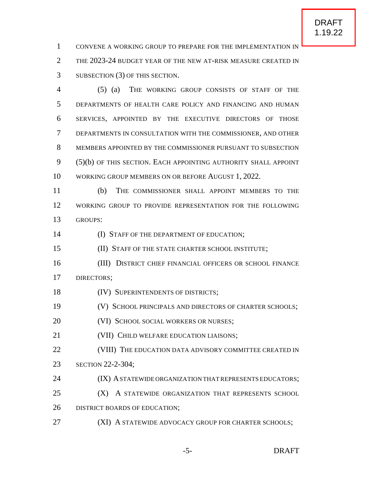CONVENE A WORKING GROUP TO PREPARE FOR THE IMPLEMENTATION IN THE 2023-24 BUDGET YEAR OF THE NEW AT-RISK MEASURE CREATED IN SUBSECTION (3) OF THIS SECTION.

 (5) (a) THE WORKING GROUP CONSISTS OF STAFF OF THE DEPARTMENTS OF HEALTH CARE POLICY AND FINANCING AND HUMAN SERVICES, APPOINTED BY THE EXECUTIVE DIRECTORS OF THOSE DEPARTMENTS IN CONSULTATION WITH THE COMMISSIONER, AND OTHER MEMBERS APPOINTED BY THE COMMISSIONER PURSUANT TO SUBSECTION (5)(b) OF THIS SECTION. EACH APPOINTING AUTHORITY SHALL APPOINT WORKING GROUP MEMBERS ON OR BEFORE AUGUST 1, 2022.

 (b) THE COMMISSIONER SHALL APPOINT MEMBERS TO THE WORKING GROUP TO PROVIDE REPRESENTATION FOR THE FOLLOWING GROUPS:

**(I) STAFF OF THE DEPARTMENT OF EDUCATION;** 

(II) STAFF OF THE STATE CHARTER SCHOOL INSTITUTE;

- (III) DISTRICT CHIEF FINANCIAL OFFICERS OR SCHOOL FINANCE DIRECTORS;
- 18 (IV) SUPERINTENDENTS OF DISTRICTS;
- (V) SCHOOL PRINCIPALS AND DIRECTORS OF CHARTER SCHOOLS;

**(VI) SCHOOL SOCIAL WORKERS OR NURSES;** 

- (VII) CHILD WELFARE EDUCATION LIAISONS;
- **(VIII)** THE EDUCATION DATA ADVISORY COMMITTEE CREATED IN SECTION 22-2-304;
- **(IX) A STATEWIDE ORGANIZATION THAT REPRESENTS EDUCATORS;**

**(X)** A STATEWIDE ORGANIZATION THAT REPRESENTS SCHOOL 26 DISTRICT BOARDS OF EDUCATION;

**(XI) A STATEWIDE ADVOCACY GROUP FOR CHARTER SCHOOLS;**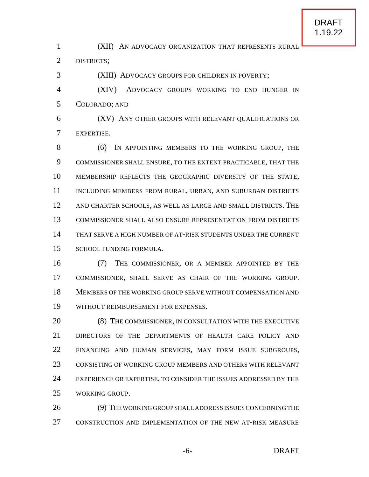(XII) AN ADVOCACY ORGANIZATION THAT REPRESENTS RURAL

DISTRICTS;

(XIII) ADVOCACY GROUPS FOR CHILDREN IN POVERTY;

 (XIV) ADVOCACY GROUPS WORKING TO END HUNGER IN COLORADO; AND

 (XV) ANY OTHER GROUPS WITH RELEVANT QUALIFICATIONS OR EXPERTISE.

 (6) IN APPOINTING MEMBERS TO THE WORKING GROUP, THE COMMISSIONER SHALL ENSURE, TO THE EXTENT PRACTICABLE, THAT THE MEMBERSHIP REFLECTS THE GEOGRAPHIC DIVERSITY OF THE STATE, 11 INCLUDING MEMBERS FROM RURAL, URBAN, AND SUBURBAN DISTRICTS AND CHARTER SCHOOLS, AS WELL AS LARGE AND SMALL DISTRICTS. THE COMMISSIONER SHALL ALSO ENSURE REPRESENTATION FROM DISTRICTS THAT SERVE A HIGH NUMBER OF AT-RISK STUDENTS UNDER THE CURRENT SCHOOL FUNDING FORMULA.

 (7) THE COMMISSIONER, OR A MEMBER APPOINTED BY THE COMMISSIONER, SHALL SERVE AS CHAIR OF THE WORKING GROUP. MEMBERS OF THE WORKING GROUP SERVE WITHOUT COMPENSATION AND WITHOUT REIMBURSEMENT FOR EXPENSES.

20 (8) THE COMMISSIONER, IN CONSULTATION WITH THE EXECUTIVE DIRECTORS OF THE DEPARTMENTS OF HEALTH CARE POLICY AND FINANCING AND HUMAN SERVICES, MAY FORM ISSUE SUBGROUPS, CONSISTING OF WORKING GROUP MEMBERS AND OTHERS WITH RELEVANT 24 EXPERIENCE OR EXPERTISE, TO CONSIDER THE ISSUES ADDRESSED BY THE WORKING GROUP.

26 (9) THE WORKING GROUP SHALL ADDRESS ISSUES CONCERNING THE CONSTRUCTION AND IMPLEMENTATION OF THE NEW AT-RISK MEASURE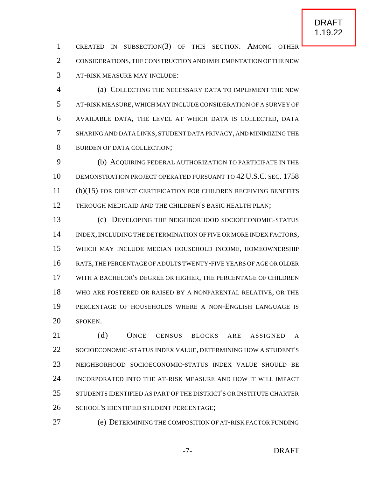CREATED IN SUBSECTION(3) OF THIS SECTION. AMONG OTHER CONSIDERATIONS,THE CONSTRUCTION AND IMPLEMENTATION OF THE NEW AT-RISK MEASURE MAY INCLUDE:

 (a) COLLECTING THE NECESSARY DATA TO IMPLEMENT THE NEW AT-RISK MEASURE, WHICH MAY INCLUDE CONSIDERATION OF A SURVEY OF AVAILABLE DATA, THE LEVEL AT WHICH DATA IS COLLECTED, DATA SHARING AND DATA LINKS, STUDENT DATA PRIVACY, AND MINIMIZING THE BURDEN OF DATA COLLECTION;

 (b) ACQUIRING FEDERAL AUTHORIZATION TO PARTICIPATE IN THE DEMONSTRATION PROJECT OPERATED PURSUANT TO 42 U.S.C. SEC. 1758 (b)(15) FOR DIRECT CERTIFICATION FOR CHILDREN RECEIVING BENEFITS 12 THROUGH MEDICAID AND THE CHILDREN'S BASIC HEALTH PLAN;

 (c) DEVELOPING THE NEIGHBORHOOD SOCIOECONOMIC-STATUS INDEX,INCLUDING THE DETERMINATION OF FIVE OR MORE INDEX FACTORS, WHICH MAY INCLUDE MEDIAN HOUSEHOLD INCOME, HOMEOWNERSHIP RATE,THE PERCENTAGE OF ADULTS TWENTY-FIVE YEARS OF AGE OR OLDER WITH A BACHELOR'S DEGREE OR HIGHER, THE PERCENTAGE OF CHILDREN WHO ARE FOSTERED OR RAISED BY A NONPARENTAL RELATIVE, OR THE PERCENTAGE OF HOUSEHOLDS WHERE A NON-ENGLISH LANGUAGE IS SPOKEN.

 (d) ONCE CENSUS BLOCKS ARE ASSIGNED A SOCIOECONOMIC-STATUS INDEX VALUE, DETERMINING HOW A STUDENT'S NEIGHBORHOOD SOCIOECONOMIC-STATUS INDEX VALUE SHOULD BE INCORPORATED INTO THE AT-RISK MEASURE AND HOW IT WILL IMPACT STUDENTS IDENTIFIED AS PART OF THE DISTRICT'S OR INSTITUTE CHARTER SCHOOL'S IDENTIFIED STUDENT PERCENTAGE;

(e) DETERMINING THE COMPOSITION OF AT-RISK FACTOR FUNDING

-7- DRAFT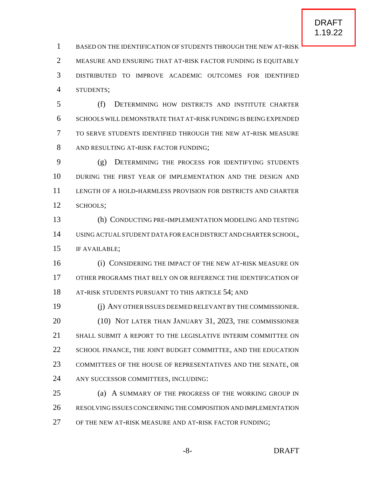BASED ON THE IDENTIFICATION OF STUDENTS THROUGH THE NEW AT-RISK MEASURE AND ENSURING THAT AT-RISK FACTOR FUNDING IS EQUITABLY DISTRIBUTED TO IMPROVE ACADEMIC OUTCOMES FOR IDENTIFIED STUDENTS;

 (f) DETERMINING HOW DISTRICTS AND INSTITUTE CHARTER SCHOOLS WILL DEMONSTRATE THAT AT-RISK FUNDING IS BEING EXPENDED TO SERVE STUDENTS IDENTIFIED THROUGH THE NEW AT-RISK MEASURE AND RESULTING AT-RISK FACTOR FUNDING;

 (g) DETERMINING THE PROCESS FOR IDENTIFYING STUDENTS DURING THE FIRST YEAR OF IMPLEMENTATION AND THE DESIGN AND LENGTH OF A HOLD-HARMLESS PROVISION FOR DISTRICTS AND CHARTER SCHOOLS;

 (h) CONDUCTING PRE-IMPLEMENTATION MODELING AND TESTING USING ACTUAL STUDENT DATA FOR EACH DISTRICT AND CHARTER SCHOOL, IF AVAILABLE;

 (i) CONSIDERING THE IMPACT OF THE NEW AT-RISK MEASURE ON OTHER PROGRAMS THAT RELY ON OR REFERENCE THE IDENTIFICATION OF 18 AT-RISK STUDENTS PURSUANT TO THIS ARTICLE 54; AND

 (j) ANY OTHER ISSUES DEEMED RELEVANT BY THE COMMISSIONER. (10) NOT LATER THAN JANUARY 31, 2023, THE COMMISSIONER SHALL SUBMIT A REPORT TO THE LEGISLATIVE INTERIM COMMITTEE ON 22 SCHOOL FINANCE, THE JOINT BUDGET COMMITTEE, AND THE EDUCATION COMMITTEES OF THE HOUSE OF REPRESENTATIVES AND THE SENATE, OR ANY SUCCESSOR COMMITTEES, INCLUDING:

 (a) A SUMMARY OF THE PROGRESS OF THE WORKING GROUP IN RESOLVING ISSUES CONCERNING THECOMPOSITION AND IMPLEMENTATION OF THE NEW AT-RISK MEASURE AND AT-RISK FACTOR FUNDING;